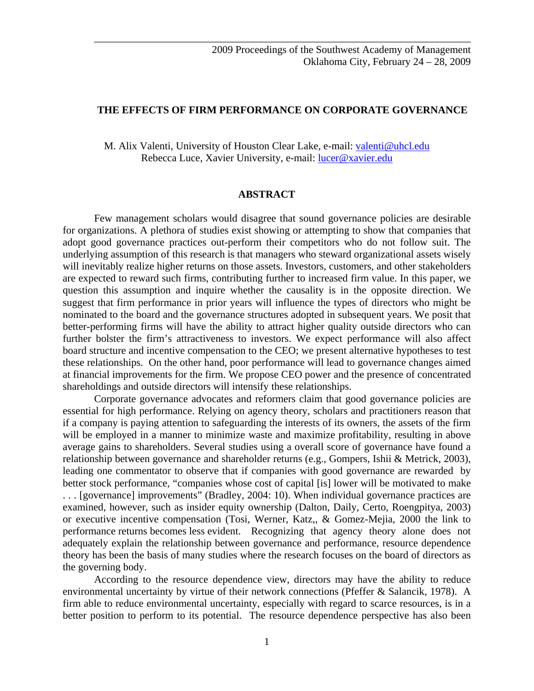#### **THE EFFECTS OF FIRM PERFORMANCE ON CORPORATE GOVERNANCE**

\_\_\_\_\_\_\_\_\_\_\_\_\_\_\_\_\_\_\_\_\_\_\_\_\_\_\_\_\_\_\_\_\_\_\_\_\_\_\_\_\_\_\_\_\_\_\_\_\_\_\_\_\_\_\_\_\_\_\_\_\_\_\_\_\_\_\_\_\_\_\_\_

M. Alix Valenti, University of Houston Clear Lake, e-mail: [valenti@uhcl.edu](mailto:valenti@uhcl.edu) Rebecca Luce, Xavier University, e-mail: [lucer@xavier.edu](mailto:lucer@xavier.edu)

#### **ABSTRACT**

 Few management scholars would disagree that sound governance policies are desirable for organizations. A plethora of studies exist showing or attempting to show that companies that adopt good governance practices out-perform their competitors who do not follow suit. The underlying assumption of this research is that managers who steward organizational assets wisely will inevitably realize higher returns on those assets. Investors, customers, and other stakeholders are expected to reward such firms, contributing further to increased firm value. In this paper, we question this assumption and inquire whether the causality is in the opposite direction. We suggest that firm performance in prior years will influence the types of directors who might be nominated to the board and the governance structures adopted in subsequent years. We posit that better-performing firms will have the ability to attract higher quality outside directors who can further bolster the firm's attractiveness to investors. We expect performance will also affect board structure and incentive compensation to the CEO; we present alternative hypotheses to test these relationships. On the other hand, poor performance will lead to governance changes aimed at financial improvements for the firm. We propose CEO power and the presence of concentrated shareholdings and outside directors will intensify these relationships.

 Corporate governance advocates and reformers claim that good governance policies are essential for high performance. Relying on agency theory, scholars and practitioners reason that if a company is paying attention to safeguarding the interests of its owners, the assets of the firm will be employed in a manner to minimize waste and maximize profitability, resulting in above average gains to shareholders. Several studies using a overall score of governance have found a relationship between governance and shareholder returns (e.g., Gompers, Ishii & Metrick, 2003), leading one commentator to observe that if companies with good governance are rewarded by better stock performance, "companies whose cost of capital [is] lower will be motivated to make . . . [governance] improvements" (Bradley, 2004: 10). When individual governance practices are examined, however, such as insider equity ownership (Dalton, Daily, Certo, Roengpitya, 2003) or executive incentive compensation (Tosi, Werner, Katz,, & Gomez-Mejia, 2000 the link to performance returns becomes less evident. Recognizing that agency theory alone does not adequately explain the relationship between governance and performance, resource dependence theory has been the basis of many studies where the research focuses on the board of directors as the governing body.

According to the resource dependence view, directors may have the ability to reduce environmental uncertainty by virtue of their network connections (Pfeffer & Salancik, 1978). A firm able to reduce environmental uncertainty, especially with regard to scarce resources, is in a better position to perform to its potential. The resource dependence perspective has also been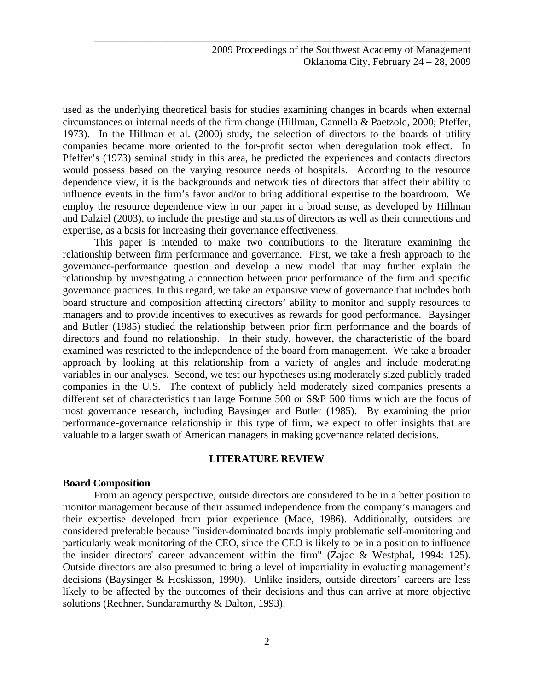used as the underlying theoretical basis for studies examining changes in boards when external circumstances or internal needs of the firm change (Hillman, Cannella & Paetzold, 2000; Pfeffer, 1973). In the Hillman et al. (2000) study, the selection of directors to the boards of utility companies became more oriented to the for-profit sector when deregulation took effect. In Pfeffer's (1973) seminal study in this area, he predicted the experiences and contacts directors would possess based on the varying resource needs of hospitals. According to the resource dependence view, it is the backgrounds and network ties of directors that affect their ability to influence events in the firm's favor and/or to bring additional expertise to the boardroom. We employ the resource dependence view in our paper in a broad sense, as developed by Hillman and Dalziel (2003), to include the prestige and status of directors as well as their connections and expertise, as a basis for increasing their governance effectiveness.

\_\_\_\_\_\_\_\_\_\_\_\_\_\_\_\_\_\_\_\_\_\_\_\_\_\_\_\_\_\_\_\_\_\_\_\_\_\_\_\_\_\_\_\_\_\_\_\_\_\_\_\_\_\_\_\_\_\_\_\_\_\_\_\_\_\_\_\_\_\_\_\_

 This paper is intended to make two contributions to the literature examining the relationship between firm performance and governance. First, we take a fresh approach to the governance-performance question and develop a new model that may further explain the relationship by investigating a connection between prior performance of the firm and specific governance practices. In this regard, we take an expansive view of governance that includes both board structure and composition affecting directors' ability to monitor and supply resources to managers and to provide incentives to executives as rewards for good performance. Baysinger and Butler (1985) studied the relationship between prior firm performance and the boards of directors and found no relationship. In their study, however, the characteristic of the board examined was restricted to the independence of the board from management. We take a broader approach by looking at this relationship from a variety of angles and include moderating variables in our analyses. Second, we test our hypotheses using moderately sized publicly traded companies in the U.S. The context of publicly held moderately sized companies presents a different set of characteristics than large Fortune 500 or S&P 500 firms which are the focus of most governance research, including Baysinger and Butler (1985). By examining the prior performance-governance relationship in this type of firm, we expect to offer insights that are valuable to a larger swath of American managers in making governance related decisions.

#### **LITERATURE REVIEW**

#### **Board Composition**

From an agency perspective, outside directors are considered to be in a better position to monitor management because of their assumed independence from the company's managers and their expertise developed from prior experience (Mace, 1986). Additionally, outsiders are considered preferable because "insider-dominated boards imply problematic self-monitoring and particularly weak monitoring of the CEO, since the CEO is likely to be in a position to influence the insider directors' career advancement within the firm" (Zajac & Westphal, 1994: 125). Outside directors are also presumed to bring a level of impartiality in evaluating management's decisions (Baysinger & Hoskisson, 1990). Unlike insiders, outside directors' careers are less likely to be affected by the outcomes of their decisions and thus can arrive at more objective solutions (Rechner, Sundaramurthy & Dalton, 1993).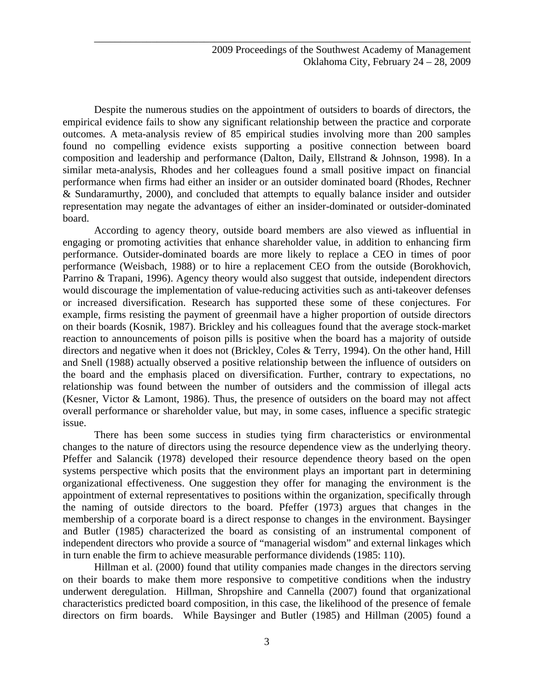Despite the numerous studies on the appointment of outsiders to boards of directors, the empirical evidence fails to show any significant relationship between the practice and corporate outcomes. A meta-analysis review of 85 empirical studies involving more than 200 samples found no compelling evidence exists supporting a positive connection between board composition and leadership and performance (Dalton, Daily, Ellstrand & Johnson, 1998). In a similar meta-analysis, Rhodes and her colleagues found a small positive impact on financial performance when firms had either an insider or an outsider dominated board (Rhodes, Rechner & Sundaramurthy, 2000), and concluded that attempts to equally balance insider and outsider representation may negate the advantages of either an insider-dominated or outsider-dominated board.

\_\_\_\_\_\_\_\_\_\_\_\_\_\_\_\_\_\_\_\_\_\_\_\_\_\_\_\_\_\_\_\_\_\_\_\_\_\_\_\_\_\_\_\_\_\_\_\_\_\_\_\_\_\_\_\_\_\_\_\_\_\_\_\_\_\_\_\_\_\_\_\_

 According to agency theory, outside board members are also viewed as influential in engaging or promoting activities that enhance shareholder value, in addition to enhancing firm performance. Outsider-dominated boards are more likely to replace a CEO in times of poor performance (Weisbach, 1988) or to hire a replacement CEO from the outside (Borokhovich, Parrino & Trapani, 1996). Agency theory would also suggest that outside, independent directors would discourage the implementation of value-reducing activities such as anti-takeover defenses or increased diversification. Research has supported these some of these conjectures. For example, firms resisting the payment of greenmail have a higher proportion of outside directors on their boards (Kosnik, 1987). Brickley and his colleagues found that the average stock-market reaction to announcements of poison pills is positive when the board has a majority of outside directors and negative when it does not (Brickley, Coles & Terry, 1994). On the other hand, Hill and Snell (1988) actually observed a positive relationship between the influence of outsiders on the board and the emphasis placed on diversification. Further, contrary to expectations, no relationship was found between the number of outsiders and the commission of illegal acts (Kesner, Victor & Lamont, 1986). Thus, the presence of outsiders on the board may not affect overall performance or shareholder value, but may, in some cases, influence a specific strategic issue.

 There has been some success in studies tying firm characteristics or environmental changes to the nature of directors using the resource dependence view as the underlying theory. Pfeffer and Salancik (1978) developed their resource dependence theory based on the open systems perspective which posits that the environment plays an important part in determining organizational effectiveness. One suggestion they offer for managing the environment is the appointment of external representatives to positions within the organization, specifically through the naming of outside directors to the board. Pfeffer (1973) argues that changes in the membership of a corporate board is a direct response to changes in the environment. Baysinger and Butler (1985) characterized the board as consisting of an instrumental component of independent directors who provide a source of "managerial wisdom" and external linkages which in turn enable the firm to achieve measurable performance dividends (1985: 110).

Hillman et al. (2000) found that utility companies made changes in the directors serving on their boards to make them more responsive to competitive conditions when the industry underwent deregulation. Hillman, Shropshire and Cannella (2007) found that organizational characteristics predicted board composition, in this case, the likelihood of the presence of female directors on firm boards. While Baysinger and Butler (1985) and Hillman (2005) found a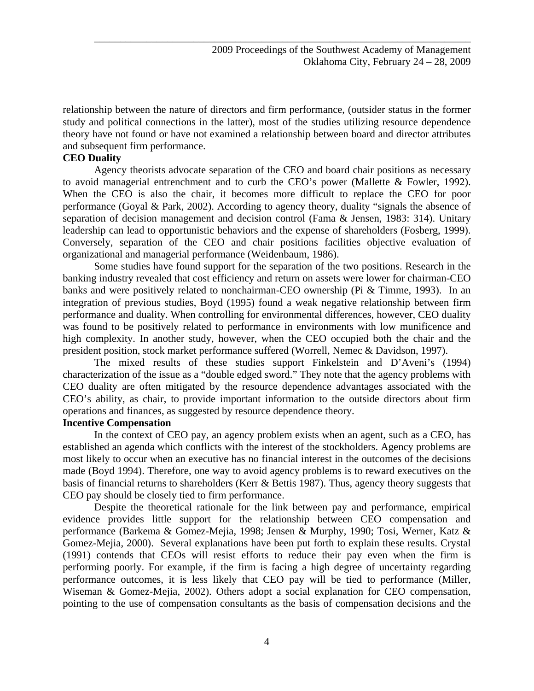relationship between the nature of directors and firm performance, (outsider status in the former study and political connections in the latter), most of the studies utilizing resource dependence theory have not found or have not examined a relationship between board and director attributes and subsequent firm performance.

\_\_\_\_\_\_\_\_\_\_\_\_\_\_\_\_\_\_\_\_\_\_\_\_\_\_\_\_\_\_\_\_\_\_\_\_\_\_\_\_\_\_\_\_\_\_\_\_\_\_\_\_\_\_\_\_\_\_\_\_\_\_\_\_\_\_\_\_\_\_\_\_

# **CEO Duality**

 Agency theorists advocate separation of the CEO and board chair positions as necessary to avoid managerial entrenchment and to curb the CEO's power (Mallette & Fowler, 1992). When the CEO is also the chair, it becomes more difficult to replace the CEO for poor performance (Goyal & Park, 2002). According to agency theory, duality "signals the absence of separation of decision management and decision control (Fama & Jensen, 1983: 314). Unitary leadership can lead to opportunistic behaviors and the expense of shareholders (Fosberg, 1999). Conversely, separation of the CEO and chair positions facilities objective evaluation of organizational and managerial performance (Weidenbaum, 1986).

 Some studies have found support for the separation of the two positions. Research in the banking industry revealed that cost efficiency and return on assets were lower for chairman-CEO banks and were positively related to nonchairman-CEO ownership (Pi & Timme, 1993). In an integration of previous studies, Boyd (1995) found a weak negative relationship between firm performance and duality. When controlling for environmental differences, however, CEO duality was found to be positively related to performance in environments with low munificence and high complexity. In another study, however, when the CEO occupied both the chair and the president position, stock market performance suffered (Worrell, Nemec & Davidson, 1997).

 The mixed results of these studies support Finkelstein and D'Aveni's (1994) characterization of the issue as a "double edged sword." They note that the agency problems with CEO duality are often mitigated by the resource dependence advantages associated with the CEO's ability, as chair, to provide important information to the outside directors about firm operations and finances, as suggested by resource dependence theory.

## **Incentive Compensation**

In the context of CEO pay, an agency problem exists when an agent, such as a CEO, has established an agenda which conflicts with the interest of the stockholders. Agency problems are most likely to occur when an executive has no financial interest in the outcomes of the decisions made (Boyd 1994). Therefore, one way to avoid agency problems is to reward executives on the basis of financial returns to shareholders (Kerr & Bettis 1987). Thus, agency theory suggests that CEO pay should be closely tied to firm performance.

 Despite the theoretical rationale for the link between pay and performance, empirical evidence provides little support for the relationship between CEO compensation and performance (Barkema & Gomez-Mejia, 1998; Jensen & Murphy, 1990; Tosi, Werner, Katz & Gomez-Mejia, 2000). Several explanations have been put forth to explain these results. Crystal (1991) contends that CEOs will resist efforts to reduce their pay even when the firm is performing poorly. For example, if the firm is facing a high degree of uncertainty regarding performance outcomes, it is less likely that CEO pay will be tied to performance (Miller, Wiseman & Gomez-Mejia, 2002). Others adopt a social explanation for CEO compensation, pointing to the use of compensation consultants as the basis of compensation decisions and the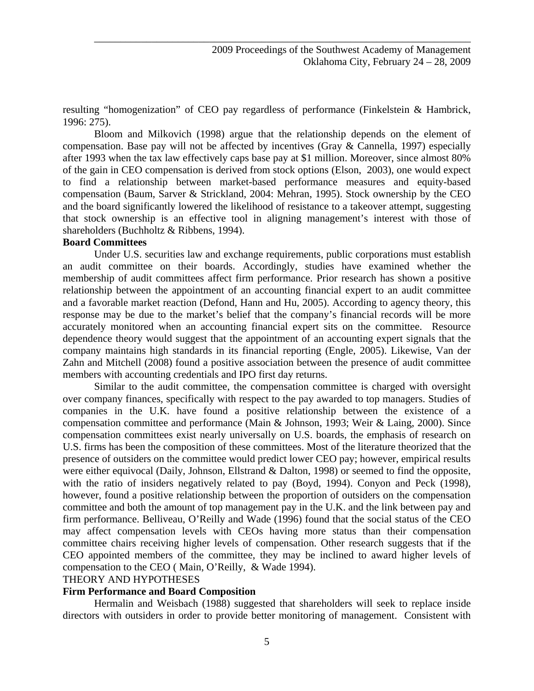resulting "homogenization" of CEO pay regardless of performance (Finkelstein & Hambrick, 1996: 275).

\_\_\_\_\_\_\_\_\_\_\_\_\_\_\_\_\_\_\_\_\_\_\_\_\_\_\_\_\_\_\_\_\_\_\_\_\_\_\_\_\_\_\_\_\_\_\_\_\_\_\_\_\_\_\_\_\_\_\_\_\_\_\_\_\_\_\_\_\_\_\_\_

 Bloom and Milkovich (1998) argue that the relationship depends on the element of compensation. Base pay will not be affected by incentives (Gray & Cannella, 1997) especially after 1993 when the tax law effectively caps base pay at \$1 million. Moreover, since almost 80% of the gain in CEO compensation is derived from stock options (Elson, 2003), one would expect to find a relationship between market-based performance measures and equity-based compensation (Baum, Sarver & Strickland, 2004: Mehran, 1995). Stock ownership by the CEO and the board significantly lowered the likelihood of resistance to a takeover attempt, suggesting that stock ownership is an effective tool in aligning management's interest with those of shareholders (Buchholtz & Ribbens, 1994).

### **Board Committees**

 Under U.S. securities law and exchange requirements, public corporations must establish an audit committee on their boards. Accordingly, studies have examined whether the membership of audit committees affect firm performance. Prior research has shown a positive relationship between the appointment of an accounting financial expert to an audit committee and a favorable market reaction (Defond, Hann and Hu, 2005). According to agency theory, this response may be due to the market's belief that the company's financial records will be more accurately monitored when an accounting financial expert sits on the committee. Resource dependence theory would suggest that the appointment of an accounting expert signals that the company maintains high standards in its financial reporting (Engle, 2005). Likewise, Van der Zahn and Mitchell (2008) found a positive association between the presence of audit committee members with accounting credentials and IPO first day returns.

 Similar to the audit committee, the compensation committee is charged with oversight over company finances, specifically with respect to the pay awarded to top managers. Studies of companies in the U.K. have found a positive relationship between the existence of a compensation committee and performance (Main & Johnson, 1993; Weir & Laing, 2000). Since compensation committees exist nearly universally on U.S. boards, the emphasis of research on U.S. firms has been the composition of these committees. Most of the literature theorized that the presence of outsiders on the committee would predict lower CEO pay; however, empirical results were either equivocal (Daily, Johnson, Ellstrand & Dalton, 1998) or seemed to find the opposite, with the ratio of insiders negatively related to pay (Boyd, 1994). Conyon and Peck (1998), however, found a positive relationship between the proportion of outsiders on the compensation committee and both the amount of top management pay in the U.K. and the link between pay and firm performance. Belliveau, O'Reilly and Wade (1996) found that the social status of the CEO may affect compensation levels with CEOs having more status than their compensation committee chairs receiving higher levels of compensation. Other research suggests that if the CEO appointed members of the committee, they may be inclined to award higher levels of compensation to the CEO ( Main, O'Reilly, & Wade 1994).

# THEORY AND HYPOTHESES

### **Firm Performance and Board Composition**

 Hermalin and Weisbach (1988) suggested that shareholders will seek to replace inside directors with outsiders in order to provide better monitoring of management. Consistent with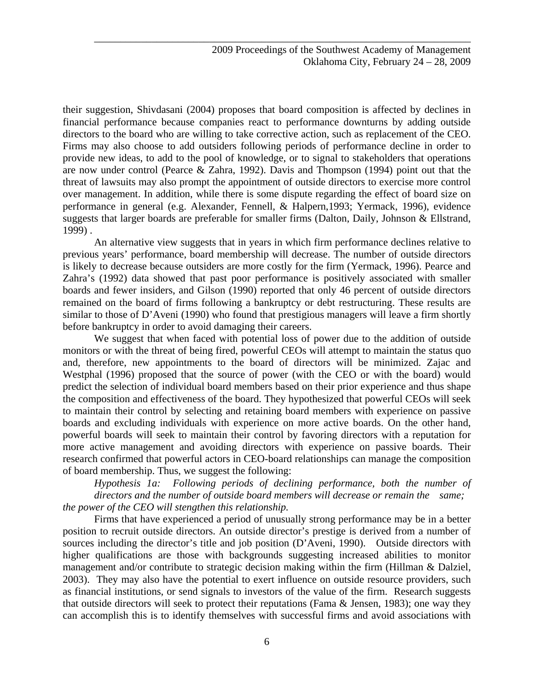their suggestion, Shivdasani (2004) proposes that board composition is affected by declines in financial performance because companies react to performance downturns by adding outside directors to the board who are willing to take corrective action, such as replacement of the CEO. Firms may also choose to add outsiders following periods of performance decline in order to provide new ideas, to add to the pool of knowledge, or to signal to stakeholders that operations are now under control (Pearce & Zahra, 1992). Davis and Thompson (1994) point out that the threat of lawsuits may also prompt the appointment of outside directors to exercise more control over management. In addition, while there is some dispute regarding the effect of board size on performance in general (e.g. Alexander, Fennell, & Halpern,1993; Yermack, 1996), evidence suggests that larger boards are preferable for smaller firms (Dalton, Daily, Johnson & Ellstrand, 1999) .

\_\_\_\_\_\_\_\_\_\_\_\_\_\_\_\_\_\_\_\_\_\_\_\_\_\_\_\_\_\_\_\_\_\_\_\_\_\_\_\_\_\_\_\_\_\_\_\_\_\_\_\_\_\_\_\_\_\_\_\_\_\_\_\_\_\_\_\_\_\_\_\_

 An alternative view suggests that in years in which firm performance declines relative to previous years' performance, board membership will decrease. The number of outside directors is likely to decrease because outsiders are more costly for the firm (Yermack, 1996). Pearce and Zahra's (1992) data showed that past poor performance is positively associated with smaller boards and fewer insiders, and Gilson (1990) reported that only 46 percent of outside directors remained on the board of firms following a bankruptcy or debt restructuring. These results are similar to those of D'Aveni (1990) who found that prestigious managers will leave a firm shortly before bankruptcy in order to avoid damaging their careers.

 We suggest that when faced with potential loss of power due to the addition of outside monitors or with the threat of being fired, powerful CEOs will attempt to maintain the status quo and, therefore, new appointments to the board of directors will be minimized. Zajac and Westphal (1996) proposed that the source of power (with the CEO or with the board) would predict the selection of individual board members based on their prior experience and thus shape the composition and effectiveness of the board. They hypothesized that powerful CEOs will seek to maintain their control by selecting and retaining board members with experience on passive boards and excluding individuals with experience on more active boards. On the other hand, powerful boards will seek to maintain their control by favoring directors with a reputation for more active management and avoiding directors with experience on passive boards. Their research confirmed that powerful actors in CEO-board relationships can manage the composition of board membership. Thus, we suggest the following:

 *Hypothesis 1a: Following periods of declining performance, both the number of directors and the number of outside board members will decrease or remain the same; the power of the CEO will stengthen this relationship.* 

Firms that have experienced a period of unusually strong performance may be in a better position to recruit outside directors. An outside director's prestige is derived from a number of sources including the director's title and job position (D'Aveni, 1990). Outside directors with higher qualifications are those with backgrounds suggesting increased abilities to monitor management and/or contribute to strategic decision making within the firm (Hillman & Dalziel, 2003). They may also have the potential to exert influence on outside resource providers, such as financial institutions, or send signals to investors of the value of the firm. Research suggests that outside directors will seek to protect their reputations (Fama & Jensen, 1983); one way they can accomplish this is to identify themselves with successful firms and avoid associations with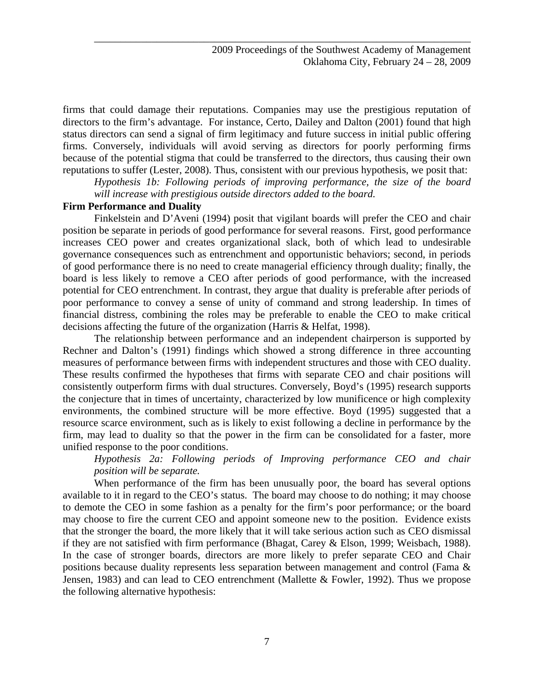firms that could damage their reputations. Companies may use the prestigious reputation of directors to the firm's advantage. For instance, Certo, Dailey and Dalton (2001) found that high status directors can send a signal of firm legitimacy and future success in initial public offering firms. Conversely, individuals will avoid serving as directors for poorly performing firms because of the potential stigma that could be transferred to the directors, thus causing their own reputations to suffer (Lester, 2008). Thus, consistent with our previous hypothesis, we posit that:

 *Hypothesis 1b: Following periods of improving performance, the size of the board will increase with prestigious outside directors added to the board.* 

\_\_\_\_\_\_\_\_\_\_\_\_\_\_\_\_\_\_\_\_\_\_\_\_\_\_\_\_\_\_\_\_\_\_\_\_\_\_\_\_\_\_\_\_\_\_\_\_\_\_\_\_\_\_\_\_\_\_\_\_\_\_\_\_\_\_\_\_\_\_\_\_

#### **Firm Performance and Duality**

 Finkelstein and D'Aveni (1994) posit that vigilant boards will prefer the CEO and chair position be separate in periods of good performance for several reasons. First, good performance increases CEO power and creates organizational slack, both of which lead to undesirable governance consequences such as entrenchment and opportunistic behaviors; second, in periods of good performance there is no need to create managerial efficiency through duality; finally, the board is less likely to remove a CEO after periods of good performance, with the increased potential for CEO entrenchment. In contrast, they argue that duality is preferable after periods of poor performance to convey a sense of unity of command and strong leadership. In times of financial distress, combining the roles may be preferable to enable the CEO to make critical decisions affecting the future of the organization (Harris & Helfat, 1998).

The relationship between performance and an independent chairperson is supported by Rechner and Dalton's (1991) findings which showed a strong difference in three accounting measures of performance between firms with independent structures and those with CEO duality. These results confirmed the hypotheses that firms with separate CEO and chair positions will consistently outperform firms with dual structures. Conversely, Boyd's (1995) research supports the conjecture that in times of uncertainty, characterized by low munificence or high complexity environments, the combined structure will be more effective. Boyd (1995) suggested that a resource scarce environment, such as is likely to exist following a decline in performance by the firm, may lead to duality so that the power in the firm can be consolidated for a faster, more unified response to the poor conditions.

 *Hypothesis 2a: Following periods of Improving performance CEO and chair position will be separate.* 

When performance of the firm has been unusually poor, the board has several options available to it in regard to the CEO's status. The board may choose to do nothing; it may choose to demote the CEO in some fashion as a penalty for the firm's poor performance; or the board may choose to fire the current CEO and appoint someone new to the position. Evidence exists that the stronger the board, the more likely that it will take serious action such as CEO dismissal if they are not satisfied with firm performance (Bhagat, Carey & Elson, 1999; Weisbach, 1988). In the case of stronger boards, directors are more likely to prefer separate CEO and Chair positions because duality represents less separation between management and control (Fama & Jensen, 1983) and can lead to CEO entrenchment (Mallette & Fowler, 1992). Thus we propose the following alternative hypothesis: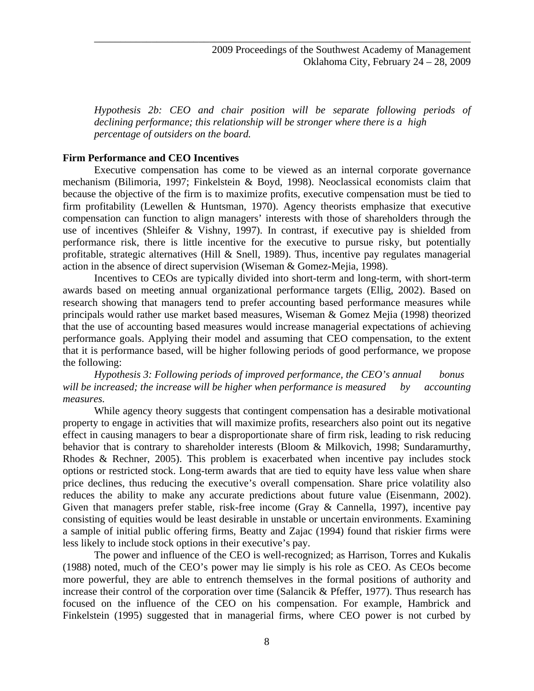*Hypothesis 2b: CEO and chair position will be separate following periods of declining performance; this relationship will be stronger where there is a high percentage of outsiders on the board.* 

\_\_\_\_\_\_\_\_\_\_\_\_\_\_\_\_\_\_\_\_\_\_\_\_\_\_\_\_\_\_\_\_\_\_\_\_\_\_\_\_\_\_\_\_\_\_\_\_\_\_\_\_\_\_\_\_\_\_\_\_\_\_\_\_\_\_\_\_\_\_\_\_

### **Firm Performance and CEO Incentives**

 Executive compensation has come to be viewed as an internal corporate governance mechanism (Bilimoria, 1997; Finkelstein & Boyd, 1998). Neoclassical economists claim that because the objective of the firm is to maximize profits, executive compensation must be tied to firm profitability (Lewellen & Huntsman, 1970). Agency theorists emphasize that executive compensation can function to align managers' interests with those of shareholders through the use of incentives (Shleifer & Vishny, 1997). In contrast, if executive pay is shielded from performance risk, there is little incentive for the executive to pursue risky, but potentially profitable, strategic alternatives (Hill & Snell, 1989). Thus, incentive pay regulates managerial action in the absence of direct supervision (Wiseman & Gomez-Mejia, 1998).

Incentives to CEOs are typically divided into short-term and long-term, with short-term awards based on meeting annual organizational performance targets (Ellig, 2002). Based on research showing that managers tend to prefer accounting based performance measures while principals would rather use market based measures, Wiseman & Gomez Mejia (1998) theorized that the use of accounting based measures would increase managerial expectations of achieving performance goals. Applying their model and assuming that CEO compensation, to the extent that it is performance based, will be higher following periods of good performance, we propose the following:

 *Hypothesis 3: Following periods of improved performance, the CEO's annual bonus will be increased; the increase will be higher when performance is measured by accounting measures.* 

 While agency theory suggests that contingent compensation has a desirable motivational property to engage in activities that will maximize profits, researchers also point out its negative effect in causing managers to bear a disproportionate share of firm risk, leading to risk reducing behavior that is contrary to shareholder interests (Bloom & Milkovich, 1998; Sundaramurthy, Rhodes & Rechner, 2005). This problem is exacerbated when incentive pay includes stock options or restricted stock. Long-term awards that are tied to equity have less value when share price declines, thus reducing the executive's overall compensation. Share price volatility also reduces the ability to make any accurate predictions about future value (Eisenmann, 2002). Given that managers prefer stable, risk-free income (Gray & Cannella, 1997), incentive pay consisting of equities would be least desirable in unstable or uncertain environments. Examining a sample of initial public offering firms, Beatty and Zajac (1994) found that riskier firms were less likely to include stock options in their executive's pay.

The power and influence of the CEO is well-recognized; as Harrison, Torres and Kukalis (1988) noted, much of the CEO's power may lie simply is his role as CEO. As CEOs become more powerful, they are able to entrench themselves in the formal positions of authority and increase their control of the corporation over time (Salancik & Pfeffer, 1977). Thus research has focused on the influence of the CEO on his compensation. For example, Hambrick and Finkelstein (1995) suggested that in managerial firms, where CEO power is not curbed by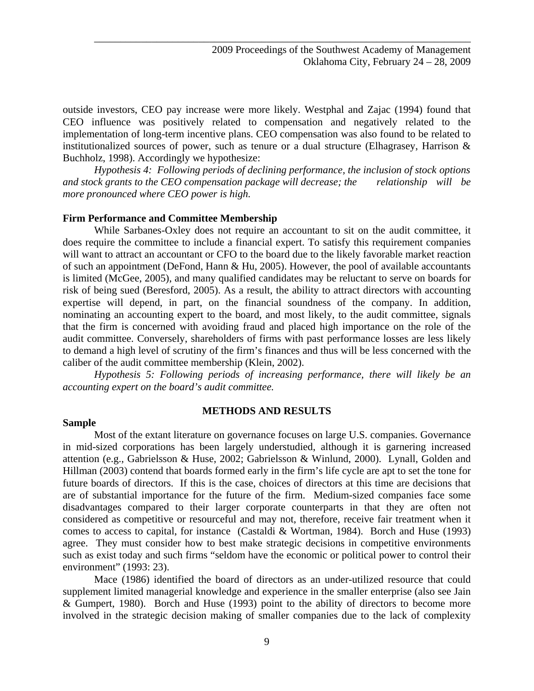outside investors, CEO pay increase were more likely. Westphal and Zajac (1994) found that CEO influence was positively related to compensation and negatively related to the implementation of long-term incentive plans. CEO compensation was also found to be related to institutionalized sources of power, such as tenure or a dual structure (Elhagrasey, Harrison  $\&$ Buchholz, 1998). Accordingly we hypothesize:

\_\_\_\_\_\_\_\_\_\_\_\_\_\_\_\_\_\_\_\_\_\_\_\_\_\_\_\_\_\_\_\_\_\_\_\_\_\_\_\_\_\_\_\_\_\_\_\_\_\_\_\_\_\_\_\_\_\_\_\_\_\_\_\_\_\_\_\_\_\_\_\_

 *Hypothesis 4: Following periods of declining performance, the inclusion of stock options and stock grants to the CEO compensation package will decrease; the relationship will be more pronounced where CEO power is high.* 

#### **Firm Performance and Committee Membership**

 While Sarbanes-Oxley does not require an accountant to sit on the audit committee, it does require the committee to include a financial expert. To satisfy this requirement companies will want to attract an accountant or CFO to the board due to the likely favorable market reaction of such an appointment (DeFond, Hann & Hu, 2005). However, the pool of available accountants is limited (McGee, 2005), and many qualified candidates may be reluctant to serve on boards for risk of being sued (Beresford, 2005). As a result, the ability to attract directors with accounting expertise will depend, in part, on the financial soundness of the company. In addition, nominating an accounting expert to the board, and most likely, to the audit committee, signals that the firm is concerned with avoiding fraud and placed high importance on the role of the audit committee. Conversely, shareholders of firms with past performance losses are less likely to demand a high level of scrutiny of the firm's finances and thus will be less concerned with the caliber of the audit committee membership (Klein, 2002).

 *Hypothesis 5: Following periods of increasing performance, there will likely be an accounting expert on the board's audit committee.* 

#### **Sample**

#### **METHODS AND RESULTS**

 Most of the extant literature on governance focuses on large U.S. companies. Governance in mid-sized corporations has been largely understudied, although it is garnering increased attention (e.g., Gabrielsson & Huse, 2002; Gabrielsson & Winlund, 2000). Lynall, Golden and Hillman (2003) contend that boards formed early in the firm's life cycle are apt to set the tone for future boards of directors. If this is the case, choices of directors at this time are decisions that are of substantial importance for the future of the firm. Medium-sized companies face some disadvantages compared to their larger corporate counterparts in that they are often not considered as competitive or resourceful and may not, therefore, receive fair treatment when it comes to access to capital, for instance (Castaldi & Wortman, 1984). Borch and Huse (1993) agree. They must consider how to best make strategic decisions in competitive environments such as exist today and such firms "seldom have the economic or political power to control their environment" (1993: 23).

 Mace (1986) identified the board of directors as an under-utilized resource that could supplement limited managerial knowledge and experience in the smaller enterprise (also see Jain & Gumpert, 1980). Borch and Huse (1993) point to the ability of directors to become more involved in the strategic decision making of smaller companies due to the lack of complexity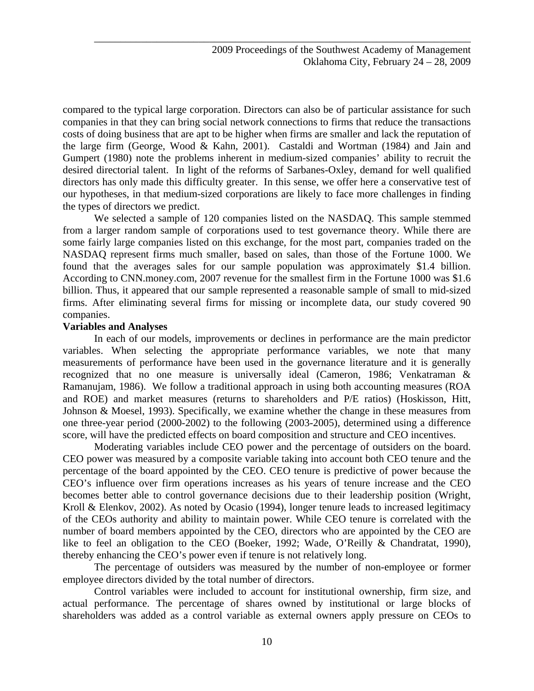compared to the typical large corporation. Directors can also be of particular assistance for such companies in that they can bring social network connections to firms that reduce the transactions costs of doing business that are apt to be higher when firms are smaller and lack the reputation of the large firm (George, Wood & Kahn, 2001). Castaldi and Wortman (1984) and Jain and Gumpert (1980) note the problems inherent in medium-sized companies' ability to recruit the desired directorial talent. In light of the reforms of Sarbanes-Oxley, demand for well qualified directors has only made this difficulty greater. In this sense, we offer here a conservative test of our hypotheses, in that medium-sized corporations are likely to face more challenges in finding the types of directors we predict.

\_\_\_\_\_\_\_\_\_\_\_\_\_\_\_\_\_\_\_\_\_\_\_\_\_\_\_\_\_\_\_\_\_\_\_\_\_\_\_\_\_\_\_\_\_\_\_\_\_\_\_\_\_\_\_\_\_\_\_\_\_\_\_\_\_\_\_\_\_\_\_\_

We selected a sample of 120 companies listed on the NASDAQ. This sample stemmed from a larger random sample of corporations used to test governance theory. While there are some fairly large companies listed on this exchange, for the most part, companies traded on the NASDAQ represent firms much smaller, based on sales, than those of the Fortune 1000. We found that the averages sales for our sample population was approximately \$1.4 billion. According to CNN.money.com, 2007 revenue for the smallest firm in the Fortune 1000 was \$1.6 billion. Thus, it appeared that our sample represented a reasonable sample of small to mid-sized firms. After eliminating several firms for missing or incomplete data, our study covered 90 companies.

## **Variables and Analyses**

In each of our models, improvements or declines in performance are the main predictor variables. When selecting the appropriate performance variables, we note that many measurements of performance have been used in the governance literature and it is generally recognized that no one measure is universally ideal (Cameron, 1986; Venkatraman & Ramanujam, 1986). We follow a traditional approach in using both accounting measures (ROA and ROE) and market measures (returns to shareholders and P/E ratios) (Hoskisson, Hitt, Johnson & Moesel, 1993). Specifically, we examine whether the change in these measures from one three-year period (2000-2002) to the following (2003-2005), determined using a difference score, will have the predicted effects on board composition and structure and CEO incentives.

Moderating variables include CEO power and the percentage of outsiders on the board. CEO power was measured by a composite variable taking into account both CEO tenure and the percentage of the board appointed by the CEO. CEO tenure is predictive of power because the CEO's influence over firm operations increases as his years of tenure increase and the CEO becomes better able to control governance decisions due to their leadership position (Wright, Kroll & Elenkov, 2002). As noted by Ocasio (1994), longer tenure leads to increased legitimacy of the CEOs authority and ability to maintain power. While CEO tenure is correlated with the number of board members appointed by the CEO, directors who are appointed by the CEO are like to feel an obligation to the CEO (Boeker, 1992; Wade, O'Reilly & Chandratat, 1990), thereby enhancing the CEO's power even if tenure is not relatively long.

The percentage of outsiders was measured by the number of non-employee or former employee directors divided by the total number of directors.

Control variables were included to account for institutional ownership, firm size, and actual performance. The percentage of shares owned by institutional or large blocks of shareholders was added as a control variable as external owners apply pressure on CEOs to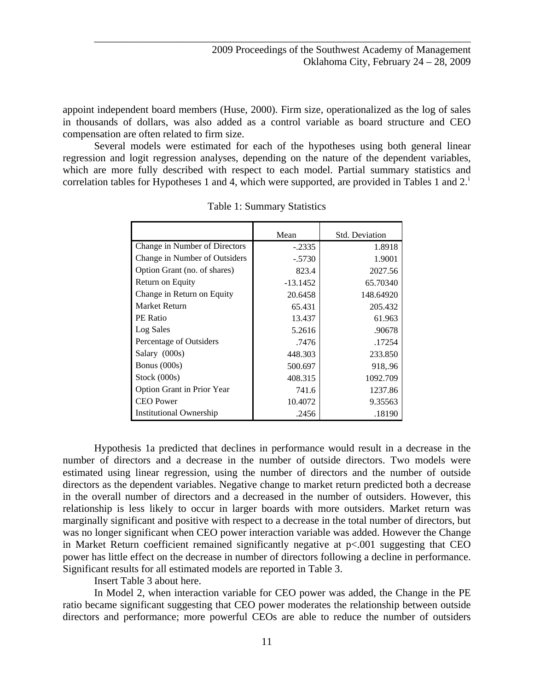appoint independent board members (Huse, 2000). Firm size, operationalized as the log of sales in thousands of dollars, was also added as a control variable as board structure and CEO compensation are often related to firm size.

\_\_\_\_\_\_\_\_\_\_\_\_\_\_\_\_\_\_\_\_\_\_\_\_\_\_\_\_\_\_\_\_\_\_\_\_\_\_\_\_\_\_\_\_\_\_\_\_\_\_\_\_\_\_\_\_\_\_\_\_\_\_\_\_\_\_\_\_\_\_\_\_

Several models were estimated for each of the hypotheses using both general linear regression and logit regression analyses, depending on the nature of the dependent variables, which are more fully described with respect to each model. Partial summary statistics and correlat[i](#page-21-0)on tables for Hypotheses 1 and 4, which were supported, are provided in Tables 1 and  $2^i$ .

|                                | Mean       | Std. Deviation |
|--------------------------------|------------|----------------|
| Change in Number of Directors  | $-.2335$   | 1.8918         |
| Change in Number of Outsiders  | $-.5730$   | 1.9001         |
| Option Grant (no. of shares)   | 823.4      | 2027.56        |
| Return on Equity               | $-13.1452$ | 65.70340       |
| Change in Return on Equity     | 20.6458    | 148.64920      |
| Market Return                  | 65.431     | 205.432        |
| PE Ratio                       | 13.437     | 61.963         |
| Log Sales                      | 5.2616     | .90678         |
| Percentage of Outsiders        | .7476      | .17254         |
| Salary (000s)                  | 448.303    | 233.850        |
| Bonus $(000s)$                 | 500.697    | 918,96         |
| Stock (000s)                   | 408.315    | 1092.709       |
| Option Grant in Prior Year     | 741.6      | 1237.86        |
| <b>CEO</b> Power               | 10.4072    | 9.35563        |
| <b>Institutional Ownership</b> | .2456      | .18190         |

Table 1: Summary Statistics

Hypothesis 1a predicted that declines in performance would result in a decrease in the number of directors and a decrease in the number of outside directors. Two models were estimated using linear regression, using the number of directors and the number of outside directors as the dependent variables. Negative change to market return predicted both a decrease in the overall number of directors and a decreased in the number of outsiders. However, this relationship is less likely to occur in larger boards with more outsiders. Market return was marginally significant and positive with respect to a decrease in the total number of directors, but was no longer significant when CEO power interaction variable was added. However the Change in Market Return coefficient remained significantly negative at  $p<.001$  suggesting that CEO power has little effect on the decrease in number of directors following a decline in performance. Significant results for all estimated models are reported in Table 3.

Insert Table 3 about here.

In Model 2, when interaction variable for CEO power was added, the Change in the PE ratio became significant suggesting that CEO power moderates the relationship between outside directors and performance; more powerful CEOs are able to reduce the number of outsiders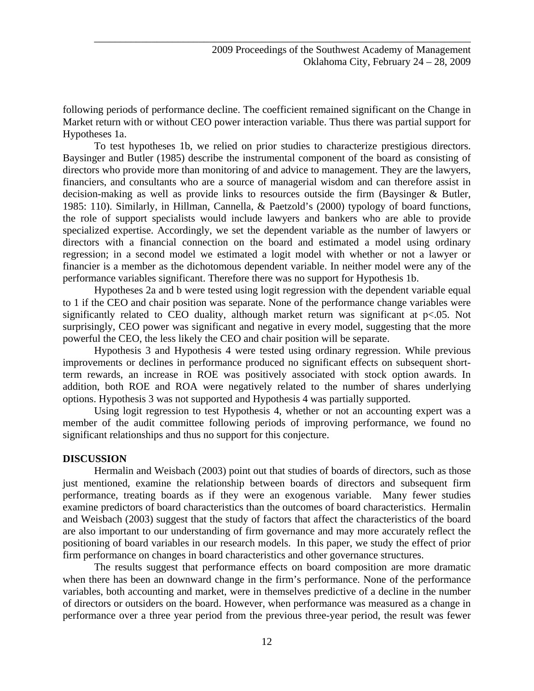following periods of performance decline. The coefficient remained significant on the Change in Market return with or without CEO power interaction variable. Thus there was partial support for Hypotheses 1a.

\_\_\_\_\_\_\_\_\_\_\_\_\_\_\_\_\_\_\_\_\_\_\_\_\_\_\_\_\_\_\_\_\_\_\_\_\_\_\_\_\_\_\_\_\_\_\_\_\_\_\_\_\_\_\_\_\_\_\_\_\_\_\_\_\_\_\_\_\_\_\_\_

To test hypotheses 1b, we relied on prior studies to characterize prestigious directors. Baysinger and Butler (1985) describe the instrumental component of the board as consisting of directors who provide more than monitoring of and advice to management. They are the lawyers, financiers, and consultants who are a source of managerial wisdom and can therefore assist in decision-making as well as provide links to resources outside the firm (Baysinger & Butler, 1985: 110). Similarly, in Hillman, Cannella, & Paetzold's (2000) typology of board functions, the role of support specialists would include lawyers and bankers who are able to provide specialized expertise. Accordingly, we set the dependent variable as the number of lawyers or directors with a financial connection on the board and estimated a model using ordinary regression; in a second model we estimated a logit model with whether or not a lawyer or financier is a member as the dichotomous dependent variable. In neither model were any of the performance variables significant. Therefore there was no support for Hypothesis 1b.

Hypotheses 2a and b were tested using logit regression with the dependent variable equal to 1 if the CEO and chair position was separate. None of the performance change variables were significantly related to CEO duality, although market return was significant at p<.05. Not surprisingly, CEO power was significant and negative in every model, suggesting that the more powerful the CEO, the less likely the CEO and chair position will be separate.

Hypothesis 3 and Hypothesis 4 were tested using ordinary regression. While previous improvements or declines in performance produced no significant effects on subsequent shortterm rewards, an increase in ROE was positively associated with stock option awards. In addition, both ROE and ROA were negatively related to the number of shares underlying options. Hypothesis 3 was not supported and Hypothesis 4 was partially supported.

Using logit regression to test Hypothesis 4, whether or not an accounting expert was a member of the audit committee following periods of improving performance, we found no significant relationships and thus no support for this conjecture.

# **DISCUSSION**

Hermalin and Weisbach (2003) point out that studies of boards of directors, such as those just mentioned, examine the relationship between boards of directors and subsequent firm performance, treating boards as if they were an exogenous variable. Many fewer studies examine predictors of board characteristics than the outcomes of board characteristics. Hermalin and Weisbach (2003) suggest that the study of factors that affect the characteristics of the board are also important to our understanding of firm governance and may more accurately reflect the positioning of board variables in our research models. In this paper, we study the effect of prior firm performance on changes in board characteristics and other governance structures.

The results suggest that performance effects on board composition are more dramatic when there has been an downward change in the firm's performance. None of the performance variables, both accounting and market, were in themselves predictive of a decline in the number of directors or outsiders on the board. However, when performance was measured as a change in performance over a three year period from the previous three-year period, the result was fewer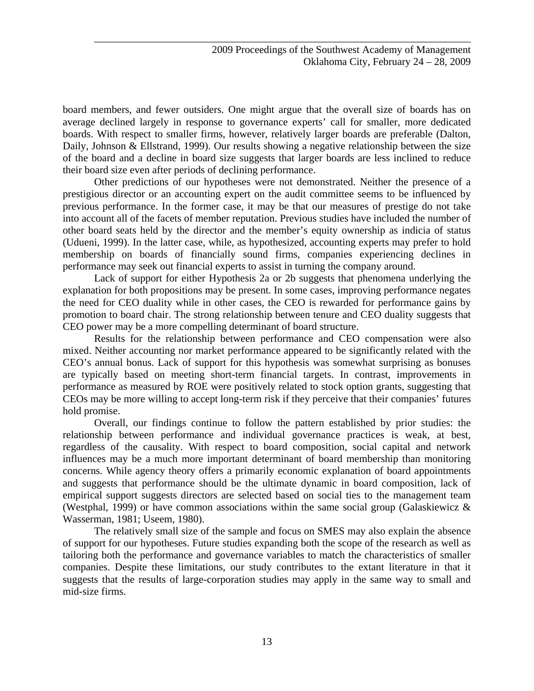board members, and fewer outsiders. One might argue that the overall size of boards has on average declined largely in response to governance experts' call for smaller, more dedicated boards. With respect to smaller firms, however, relatively larger boards are preferable (Dalton, Daily, Johnson & Ellstrand, 1999). Our results showing a negative relationship between the size of the board and a decline in board size suggests that larger boards are less inclined to reduce their board size even after periods of declining performance.

\_\_\_\_\_\_\_\_\_\_\_\_\_\_\_\_\_\_\_\_\_\_\_\_\_\_\_\_\_\_\_\_\_\_\_\_\_\_\_\_\_\_\_\_\_\_\_\_\_\_\_\_\_\_\_\_\_\_\_\_\_\_\_\_\_\_\_\_\_\_\_\_

Other predictions of our hypotheses were not demonstrated. Neither the presence of a prestigious director or an accounting expert on the audit committee seems to be influenced by previous performance. In the former case, it may be that our measures of prestige do not take into account all of the facets of member reputation. Previous studies have included the number of other board seats held by the director and the member's equity ownership as indicia of status (Udueni, 1999). In the latter case, while, as hypothesized, accounting experts may prefer to hold membership on boards of financially sound firms, companies experiencing declines in performance may seek out financial experts to assist in turning the company around.

Lack of support for either Hypothesis 2a or 2b suggests that phenomena underlying the explanation for both propositions may be present. In some cases, improving performance negates the need for CEO duality while in other cases, the CEO is rewarded for performance gains by promotion to board chair. The strong relationship between tenure and CEO duality suggests that CEO power may be a more compelling determinant of board structure.

Results for the relationship between performance and CEO compensation were also mixed. Neither accounting nor market performance appeared to be significantly related with the CEO's annual bonus. Lack of support for this hypothesis was somewhat surprising as bonuses are typically based on meeting short-term financial targets. In contrast, improvements in performance as measured by ROE were positively related to stock option grants, suggesting that CEOs may be more willing to accept long-term risk if they perceive that their companies' futures hold promise.

Overall, our findings continue to follow the pattern established by prior studies: the relationship between performance and individual governance practices is weak, at best, regardless of the causality. With respect to board composition, social capital and network influences may be a much more important determinant of board membership than monitoring concerns. While agency theory offers a primarily economic explanation of board appointments and suggests that performance should be the ultimate dynamic in board composition, lack of empirical support suggests directors are selected based on social ties to the management team (Westphal, 1999) or have common associations within the same social group (Galaskiewicz & Wasserman, 1981; Useem, 1980).

The relatively small size of the sample and focus on SMES may also explain the absence of support for our hypotheses. Future studies expanding both the scope of the research as well as tailoring both the performance and governance variables to match the characteristics of smaller companies. Despite these limitations, our study contributes to the extant literature in that it suggests that the results of large-corporation studies may apply in the same way to small and mid-size firms.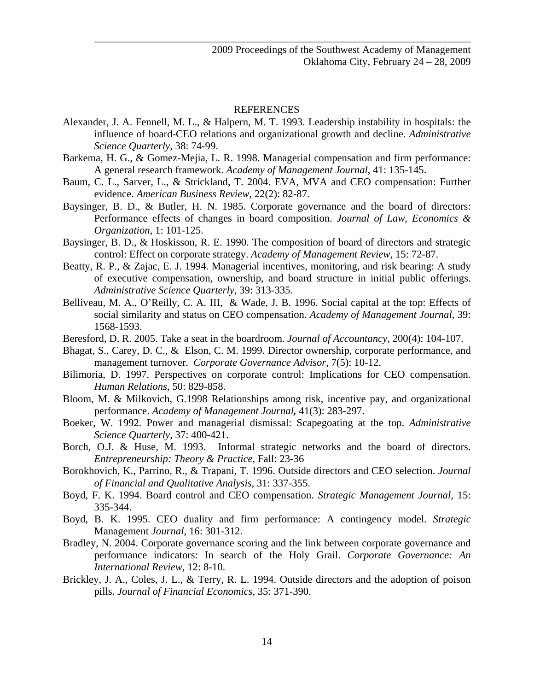#### REFERENCES

- Alexander, J. A. Fennell, M. L., & Halpern, M. T. 1993. Leadership instability in hospitals: the influence of board-CEO relations and organizational growth and decline. *Administrative Science Quarterly*, 38: 74-99.
- Barkema, H. G., & Gomez-Mejia, L. R. 1998. Managerial compensation and firm performance: A general research framework. *Academy of Management Journal*, 41: 135-145.
- Baum, C. L., Sarver, L., & Strickland, T. 2004. EVA, MVA and CEO compensation: Further evidence. *American Business Review*, 22(2): 82-87.
- Baysinger, B. D., & Butler, H. N. 1985. Corporate governance and the board of directors: Performance effects of changes in board composition. *Journal of Law, Economics & Organization*, 1: 101-125.
- Baysinger, B. D., & Hoskisson, R. E. 1990. The composition of board of directors and strategic control: Effect on corporate strategy. *Academy of Management Review*, 15: 72-87.
- Beatty, R. P., & Zajac, E. J. 1994. Managerial incentives, monitoring, and risk bearing: A study of executive compensation, ownership, and board structure in initial public offerings. *Administrative Science Quarterly*, 39: 313-335.
- Belliveau, M. A., O'Reilly, C. A. III, & Wade, J. B. 1996. Social capital at the top: Effects of social similarity and status on CEO compensation. *Academy of Management Journal*, 39: 1568-1593.
- Beresford, D. R. 2005. Take a seat in the boardroom. *Journal of Accountancy*, 200(4): 104-107.
- Bhagat, S., Carey, D. C., & Elson, C. M. 1999. Director ownership, corporate performance, and management turnover. *Corporate Governance Advisor*, 7(5): 10-12.
- Bilimoria, D. 1997. Perspectives on corporate control: Implications for CEO compensation. *Human Relations*, 50: 829-858.
- Bloom, M. & Milkovich, G.1998 Relationships among risk, incentive pay, and organizational performance. *Academy of Management Journal,* 41(3): 283-297.
- Boeker, W. 1992. Power and managerial dismissal: Scapegoating at the top. *Administrative Science Quarterly*, 37: 400-421.
- Borch, O.J. & Huse, M. 1993. Informal strategic networks and the board of directors. *Entrepreneurship: Theory & Practice*, Fall: 23-36
- Borokhovich, K., Parrino, R., & Trapani, T. 1996. Outside directors and CEO selection. *Journal of Financial and Qualitative Analysis*, 31: 337-355.
- Boyd, F. K. 1994. Board control and CEO compensation. *Strategic Management Journal*, 15: 335-344.
- Boyd, B. K. 1995. CEO duality and firm performance: A contingency model. *Strategic*  Management *Journal*, 16: 301-312.
- Bradley, N. 2004. Corporate governance scoring and the link between corporate governance and performance indicators: In search of the Holy Grail. *Corporate Governance: An International Review*, 12: 8-10.
- Brickley, J. A., Coles, J. L., & Terry, R. L. 1994. Outside directors and the adoption of poison pills. *Journal of Financial Economics*, 35: 371-390.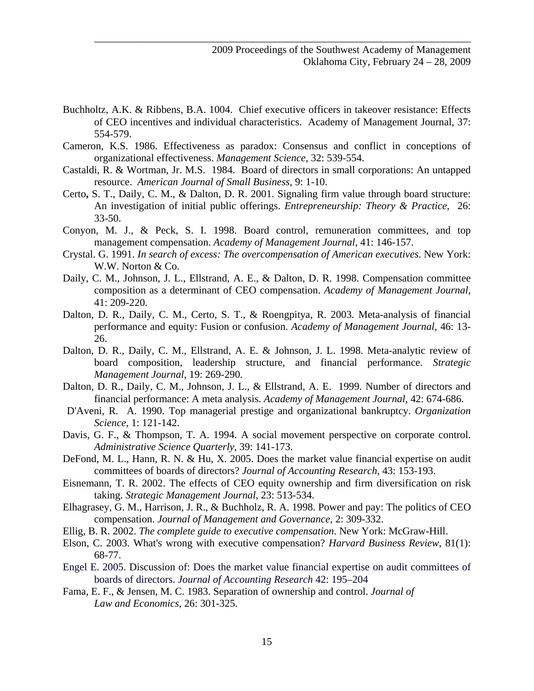Buchholtz, A.K. & Ribbens, B.A. 1004. Chief executive officers in takeover resistance: Effects of CEO incentives and individual characteristics. Academy of Management Journal, 37: 554-579.

- Cameron, K.S. 1986. Effectiveness as paradox: Consensus and conflict in conceptions of organizational effectiveness. *Management Science*, 32: 539-554.
- Castaldi, R. & Wortman, Jr. M.S. 1984. Board of directors in small corporations: An untapped resource. *American Journal of Small Business*, 9: 1-10.
- Certo**,** S. T., Daily, C. M., & Dalton, D. R. 2001. Signaling firm value through board structure: An investigation of initial public offerings. *Entrepreneurship: Theory & Practice*, 26: 33-50.
- Conyon, M. J., & Peck, S. I. 1998. Board control, remuneration committees, and top management compensation. *Academy of Management Journal*, 41: 146-157.
- Crystal. G. 1991. *In search of excess: The overcompensation of American executives*. New York: W.W. Norton & Co.
- Daily, C. M., Johnson, J. L., Ellstrand, A. E., & Dalton, D. R. 1998. Compensation committee composition as a determinant of CEO compensation. *Academy of Management Journal*, 41: 209-220.
- Dalton, D. R., Daily, C. M., Certo, S. T., & Roengpitya, R. 2003. Meta-analysis of financial performance and equity: Fusion or confusion. *Academy of Management Journal*, 46: 13- 26.
- Dalton, D. R., Daily, C. M., Ellstrand, A. E. & Johnson, J. L. 1998. Meta-analytic review of board composition, leadership structure, and financial performance. *Strategic Management Journal*, 19: 269-290.
- Dalton, D. R., Daily, C. M., Johnson, J. L., & Ellstrand, A. E. 1999. Number of directors and financial performance: A meta analysis. *Academy of Management Journal*, 42: 674-686.
- D'Aveni, R. A. 1990. Top managerial prestige and organizational bankruptcy. *Organization Science*, 1: 121-142.
- Davis, G. F., & Thompson, T. A. 1994. A social movement perspective on corporate control. *Administrative Science Quarterly*, 39: 141-173.
- DeFond, M. L., Hann, R. N. & Hu, X. 2005. Does the market value financial expertise on audit committees of boards of directors? *Journal of Accounting Research*, 43: 153-193.
- Eisnemann, T. R. 2002. The effects of CEO equity ownership and firm diversification on risk taking. *Strategic Management Journal*, 23: 513-534.
- Elhagrasey, G. M., Harrison, J. R., & Buchholz, R. A. 1998. Power and pay: The politics of CEO compensation. *Journal of Management and Governance*, 2: 309-332.
- Ellig, B. R. 2002. *The complete guide to executive compensation*. New York: McGraw-Hill.
- Elson, C. 2003. What's wrong with executive compensation? *Harvard Business Review*, 81(1): 68-77.
- Engel E. 2005. Discussion of: Does the market value financial expertise on audit committees of boards of directors. *Journal of Accounting Research* 42: 195–204
- Fama, E. F., & Jensen, M. C. 1983. Separation of ownership and control. *Journal of Law and Economics*, 26: 301-325.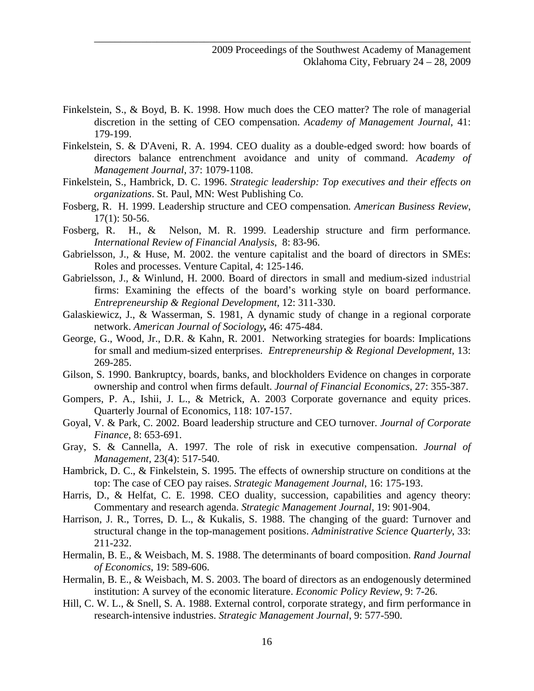Finkelstein, S., & Boyd, B. K. 1998. How much does the CEO matter? The role of managerial discretion in the setting of CEO compensation. *Academy of Management Journal*, 41: 179-199.

- Finkelstein, S. & D'Aveni, R. A. 1994. CEO duality as a double-edged sword: how boards of directors balance entrenchment avoidance and unity of command. *Academy of Management Journal*, 37: 1079-1108.
- Finkelstein, S., Hambrick, D. C. 1996. *Strategic leadership: Top executives and their effects on organizations*. St. Paul, MN: West Publishing Co.
- Fosberg, R. H. 1999. Leadership structure and CEO compensation*. American Business Review*, 17(1): 50-56.
- Fosberg, R. H., & Nelson, M. R. 1999. Leadership structure and firm performance*. International Review of Financial Analysis*, 8: 83-96.
- Gabrielsson, J., & Huse, M. 2002. the venture capitalist and the board of directors in SMEs: Roles and processes. Venture Capital, 4: 125-146.
- Gabrielsson, J., & Winlund, H. 2000. Board of directors in small and medium-sized industrial firms: Examining the effects of the board's working style on board performance. *Entrepreneurship & Regional Development*, 12: 311-330.
- Galaskiewicz, J., & Wasserman, S. 1981, A dynamic study of change in a regional corporate network. *American Journal of Sociology,* 46: 475-484.
- George, G., Wood, Jr., D.R. & Kahn, R. 2001. Networking strategies for boards: Implications for small and medium-sized enterprises. *Entrepreneurship & Regional Development*, 13: 269-285.
- Gilson, S. 1990. Bankruptcy, boards, banks, and blockholders Evidence on changes in corporate ownership and control when firms default. *Journal of Financial Economics*, 27: 355-387.
- Gompers, P. A., Ishii, J. L., & Metrick, A. 2003 Corporate governance and equity prices. Quarterly Journal of Economics, 118: 107-157.
- Goyal, V. & Park, C. 2002. Board leadership structure and CEO turnover. *Journal of Corporate Finance*, 8: 653-691.
- Gray, S. & Cannella, A. 1997. The role of risk in executive compensation. *Journal of Management,* 23(4): 517-540.
- Hambrick, D. C., & Finkelstein, S. 1995. The effects of ownership structure on conditions at the top: The case of CEO pay raises. *Strategic Management Journal*, 16: 175-193.
- Harris, D., & Helfat, C. E. 1998. CEO duality, succession, capabilities and agency theory: Commentary and research agenda. *Strategic Management Journal*, 19: 901-904.
- Harrison, J. R., Torres, D. L., & Kukalis, S. 1988. The changing of the guard: Turnover and structural change in the top-management positions. *Administrative Science Quarterly*, 33: 211-232.
- Hermalin, B. E., & Weisbach, M. S. 1988. The determinants of board composition. *Rand Journal of Economics*, 19: 589-606.
- Hermalin, B. E., & Weisbach, M. S. 2003. The board of directors as an endogenously determined institution: A survey of the economic literature. *Economic Policy Review*, 9: 7-26.
- Hill, C. W. L., & Snell, S. A. 1988. External control, corporate strategy, and firm performance in research-intensive industries. *Strategic Management Journal*, 9: 577-590.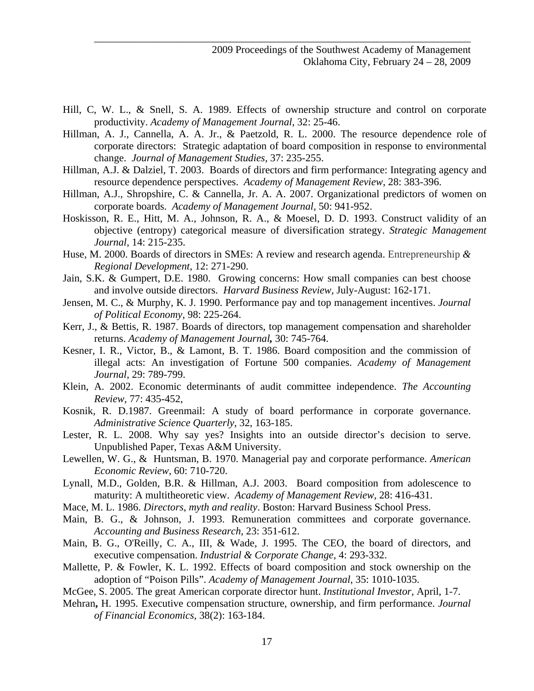Hill, C, W. L., & Snell, S. A. 1989. Effects of ownership structure and control on corporate productivity. *Academy of Management Journal*, 32: 25-46.

- Hillman, A. J., Cannella, A. A. Jr., & Paetzold, R. L. 2000. The resource dependence role of corporate directors: Strategic adaptation of board composition in response to environmental change. *Journal of Management Studies,* 37: 235-255.
- Hillman, A.J. & Dalziel, T. 2003. Boards of directors and firm performance: Integrating agency and resource dependence perspectives. *Academy of Management Review*, 28: 383-396.
- Hillman, A.J., Shropshire, C. & Cannella, Jr. A. A. 2007. Organizational predictors of women on corporate boards. *Academy of Management Journal*, 50: 941-952.
- Hoskisson, R. E., Hitt, M. A., Johnson, R. A., & Moesel, D. D. 1993. Construct validity of an objective (entropy) categorical measure of diversification strategy. *Strategic Management Journal*, 14: 215-235.
- Huse, M. 2000. Boards of directors in SMEs: A review and research agenda. Entrepreneurship *& Regional Development*, 12: 271-290.
- Jain, S.K. & Gumpert, D.E. 1980. Growing concerns: How small companies can best choose and involve outside directors. *Harvard Business Review*, July-August: 162-171.
- Jensen, M. C., & Murphy, K. J. 1990. Performance pay and top management incentives. *Journal of Political Economy*, 98: 225-264.
- Kerr, J., & Bettis, R. 1987. Boards of directors, top management compensation and shareholder returns. *Academy of Management Journal,* 30: 745-764.
- Kesner, I. R., Victor, B., & Lamont, B. T. 1986. Board composition and the commission of illegal acts: An investigation of Fortune 500 companies. *Academy of Management Journal*, 29: 789-799.
- Klein, A. 2002. Economic determinants of audit committee independence. *The Accounting Review*, 77: 435-452,
- Kosnik, R. D.1987. Greenmail: A study of board performance in corporate governance. *Administrative Science Quarterly*, 32, 163-185.
- Lester, R. L. 2008. Why say yes? Insights into an outside director's decision to serve. Unpublished Paper, Texas A&M University.
- Lewellen, W. G., & Huntsman, B. 1970. Managerial pay and corporate performance. *American Economic Review*, 60: 710-720.
- Lynall, M.D., Golden, B.R. & Hillman, A.J. 2003. Board composition from adolescence to maturity: A multitheoretic view. *Academy of Management Review*, 28: 416-431.
- Mace, M. L. 1986. *Directors, myth and reality*. Boston: Harvard Business School Press.
- Main, B. G., & Johnson, J. 1993. Remuneration committees and corporate governance. *Accounting and Business Research*, 23: 351-612.
- Main, B. G., O'Reilly, C. A., III, & Wade, J. 1995. The CEO, the board of directors, and executive compensation. *Industrial & Corporate Change*, 4: 293-332.
- Mallette, P. & Fowler, K. L. 1992. Effects of board composition and stock ownership on the adoption of "Poison Pills". *Academy of Management Journal*, 35: 1010-1035.
- McGee, S. 2005. The great American corporate director hunt. *Institutional Investor*, April, 1-7.
- Mehran**,** H. 1995. Executive compensation structure, ownership, and firm performance. *Journal of Financial Economics,* 38(2): 163-184.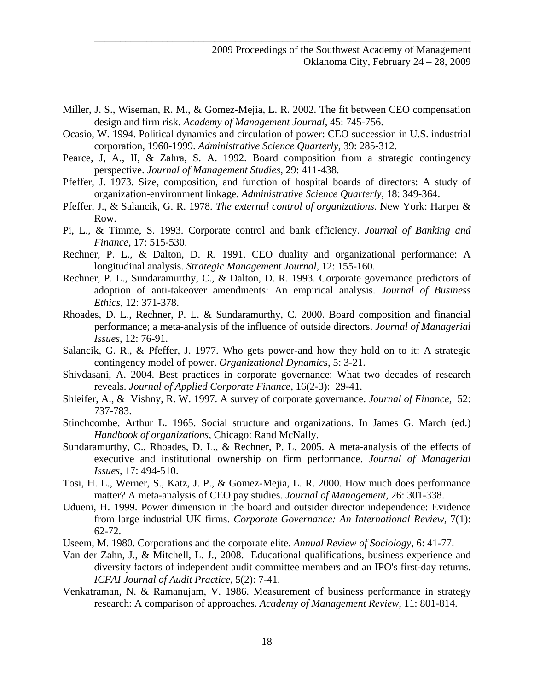Miller, J. S., Wiseman, R. M., & Gomez-Mejia, L. R. 2002. The fit between CEO compensation design and firm risk. *Academy of Management Journal*, 45: 745-756.

- Ocasio, W. 1994. Political dynamics and circulation of power: CEO succession in U.S. industrial corporation, 1960-1999. *Administrative Science Quarterly*, 39: 285-312.
- Pearce, J, A., II, & Zahra, S. A. 1992. Board composition from a strategic contingency perspective. *Journal of Management Studies*, 29: 411-438.
- Pfeffer, J. 1973. Size, composition, and function of hospital boards of directors: A study of organization-environment linkage. *Administrative Science Quarterly*, 18: 349-364.
- Pfeffer, J., & Salancik, G. R. 1978. *The external control of organizations*. New York: Harper & Row.
- Pi, L., & Timme, S. 1993. Corporate control and bank efficiency. *Journal of Banking and Finance*, 17: 515-530.
- Rechner, P. L., & Dalton, D. R. 1991. CEO duality and organizational performance: A longitudinal analysis. *Strategic Management Journal,* 12: 155-160.
- Rechner, P. L., Sundaramurthy, C., & Dalton, D. R. 1993. Corporate governance predictors of adoption of anti-takeover amendments: An empirical analysis. *Journal of Business Ethics*, 12: 371-378.
- Rhoades, D. L., Rechner, P. L. & Sundaramurthy, C. 2000. Board composition and financial performance; a meta-analysis of the influence of outside directors. *Journal of Managerial Issues*, 12: 76-91.
- Salancik, G. R., & Pfeffer, J. 1977. Who gets power-and how they hold on to it: A strategic contingency model of power. *Organizational Dynamics*, 5: 3-21.
- Shivdasani, A. 2004. Best practices in corporate governance: What two decades of research reveals. *Journal of Applied Corporate Finance*, 16(2-3): 29-41.
- Shleifer, A., & Vishny, R. W. 1997. A survey of corporate governance. *Journal of Finance*, 52: 737-783.
- Stinchcombe, Arthur L. 1965. Social structure and organizations. In James G. March (ed.) *Handbook of organizations*, Chicago: Rand McNally.
- Sundaramurthy, C., Rhoades, D. L., & Rechner, P. L. 2005. A meta-analysis of the effects of executive and institutional ownership on firm performance. *Journal of Managerial Issues*, 17: 494-510.
- Tosi, H. L., Werner, S., Katz, J. P., & Gomez-Mejia, L. R. 2000. How much does performance matter? A meta-analysis of CEO pay studies. *Journal of Management*, 26: 301-338.
- Udueni, H. 1999. Power dimension in the board and outsider director independence: Evidence from large industrial UK firms. *Corporate Governance: An International Review*, 7(1): 62-72.
- Useem, M. 1980. Corporations and the corporate elite. *Annual Review of Sociology*, 6: 41-77.
- Van der Zahn, J., & Mitchell, L. J., 2008. Educational qualifications, business experience and diversity factors of independent audit committee members and an IPO's first-day returns. *ICFAI Journal of Audit Practice*, 5(2): 7-41.
- Venkatraman, N. & Ramanujam, V. 1986. Measurement of business performance in strategy research: A comparison of approaches. *Academy of Management Review*, 11: 801-814.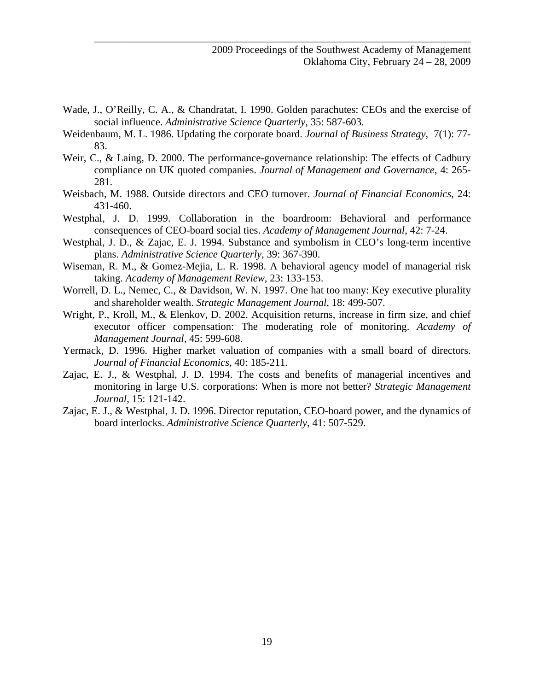Wade, J., O'Reilly, C. A., & Chandratat, I. 1990. Golden parachutes: CEOs and the exercise of social influence. *Administrative Science Quarterly*, 35: 587-603.

- Weidenbaum, M. L. 1986. Updating the corporate board. *Journal of Business Strategy*, 7(1): 77- 83.
- Weir, C., & Laing, D. 2000. The performance-governance relationship: The effects of Cadbury compliance on UK quoted companies. *Journal of Management and Governance*, 4: 265- 281.
- Weisbach, M. 1988. Outside directors and CEO turnover. *Journal of Financial Economics*, 24: 431-460.
- Westphal, J. D. 1999. Collaboration in the boardroom: Behavioral and performance consequences of CEO-board social ties. *Academy of Management Journal*, 42: 7-24.
- Westphal, J. D., & Zajac, E. J. 1994. Substance and symbolism in CEO's long-term incentive plans. *Administrative Science Quarterly*, 39: 367-390.
- Wiseman, R. M., & Gomez-Mejia, L. R. 1998. A behavioral agency model of managerial risk taking. *Academy of Management Review*, 23: 133-153.
- Worrell, D. L., Nemec, C., & Davidson, W. N. 1997. One hat too many: Key executive plurality and shareholder wealth. *Strategic Management Journal*, 18: 499-507.
- Wright, P., Kroll, M., & Elenkov, D. 2002. Acquisition returns, increase in firm size, and chief executor officer compensation: The moderating role of monitoring. *Academy of Management Journal*, 45: 599-608.
- Yermack, D. 1996. Higher market valuation of companies with a small board of directors. *Journal of Financial Economics*, 40: 185-211.
- Zajac, E. J., & Westphal, J. D. 1994. The costs and benefits of managerial incentives and monitoring in large U.S. corporations: When is more not better? *Strategic Management Journal*, 15: 121-142.
- Zajac, E. J., & Westphal, J. D. 1996. Director reputation, CEO-board power, and the dynamics of board interlocks. *Administrative Science Quarterly*, 41: 507-529.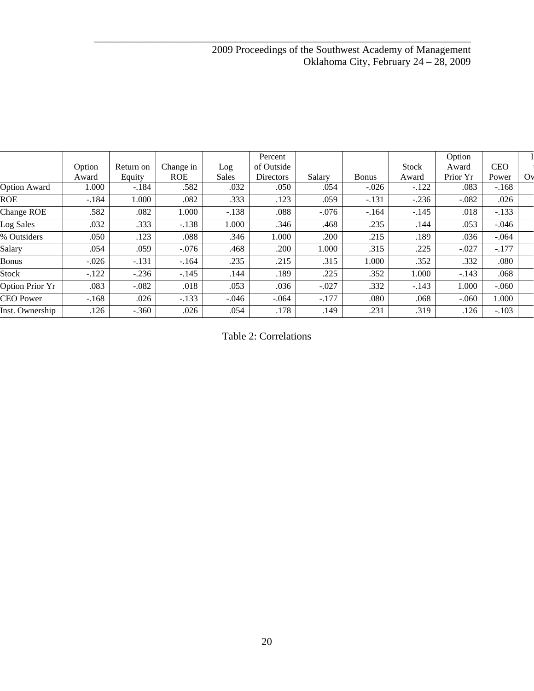# 2009 Proceedings of the Southwest Academy of Management Oklahoma City, February 24 – 28, 2009

|                        |         |           |            |         | Percent    |         |              |              | Option   |            |    |
|------------------------|---------|-----------|------------|---------|------------|---------|--------------|--------------|----------|------------|----|
|                        | Option  | Return on | Change in  | Log     | of Outside |         |              | <b>Stock</b> | Award    | <b>CEO</b> |    |
|                        | Award   | Equity    | <b>ROE</b> | Sales   | Directors  | Salary  | <b>Bonus</b> | Award        | Prior Yr | Power      | Ov |
| <b>Option Award</b>    | 1.000   | $-.184$   | .582       | .032    | .050       | .054    | $-.026$      | $-.122$      | .083     | $-.168$    |    |
| <b>ROE</b>             | $-.184$ | 1.000     | .082       | .333    | .123       | .059    | $-.131$      | $-.236$      | $-.082$  | .026       |    |
| <b>Change ROE</b>      | .582    | .082      | 1.000      | $-.138$ | .088       | $-.076$ | $-164$       | $-.145$      | .018     | $-.133$    |    |
| Log Sales              | .032    | .333      | $-.138$    | 1.000   | .346       | .468    | .235         | .144         | .053     | $-.046$    |    |
| % Outsiders            | .050    | .123      | .088       | .346    | 1.000      | .200    | .215         | .189         | .036     | $-.064$    |    |
| Salary                 | .054    | .059      | $-.076$    | .468    | .200       | 1.000   | .315         | .225         | $-.027$  | $-.177$    |    |
| <b>Bonus</b>           | $-.026$ | $-.131$   | $-.164$    | .235    | .215       | .315    | 1.000        | .352         | .332     | .080       |    |
| Stock                  | $-.122$ | $-.236$   | $-.145$    | .144    | .189       | .225    | .352         | 1.000        | $-.143$  | .068       |    |
| <b>Option Prior Yr</b> | .083    | $-.082$   | .018       | .053    | .036       | $-.027$ | .332         | $-.143$      | 1.000    | $-.060$    |    |
| <b>CEO</b> Power       | $-168$  | .026      | $-.133$    | $-.046$ | $-.064$    | $-.177$ | .080         | .068         | $-.060$  | 1.000      |    |
| Inst. Ownership        | .126    | $-.360$   | .026       | .054    | .178       | .149    | .231         | .319         | .126     | $-.103$    |    |

\_\_\_\_\_\_\_\_\_\_\_\_\_\_\_\_\_\_\_\_\_\_\_\_\_\_\_\_\_\_\_\_\_\_\_\_\_\_\_\_\_\_\_\_\_\_\_\_\_\_\_\_\_\_\_\_\_\_\_\_\_\_\_\_\_\_\_\_\_\_\_\_

Table 2: Correlations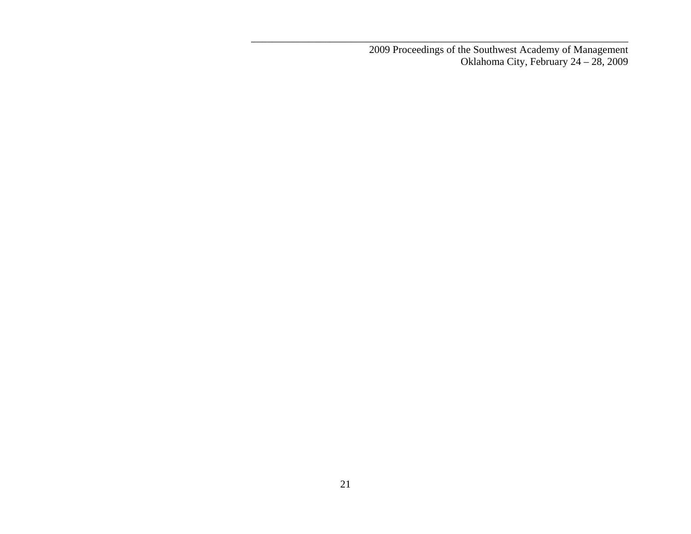2009 Proceedings of the Southwest Academy of Management Oklahoma City, February 24 – 28, 2009